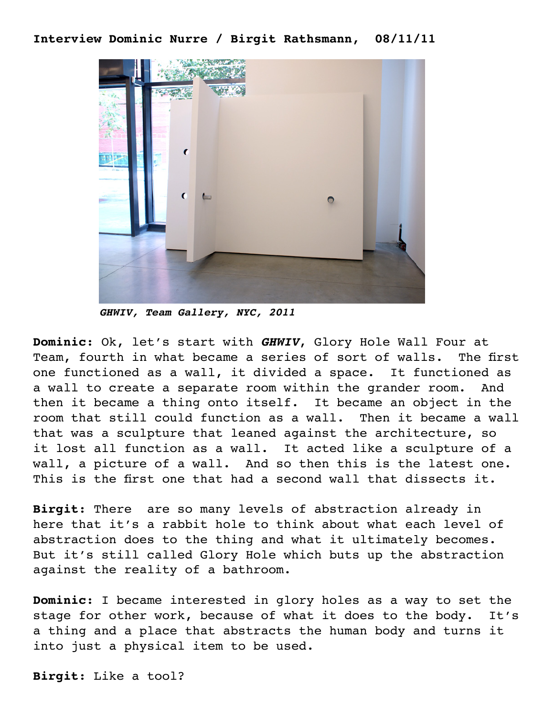## **Interview Dominic Nurre / Birgit Rathsmann, 08/11/11**



*GHWIV, Team Gallery, NYC, 2011*

**Dominic**: Ok, let's start with *GHWIV*, Glory Hole Wall Four at Team, fourth in what became a series of sort of walls. The first one functioned as a wall, it divided a space. It functioned as a wall to create a separate room within the grander room. And then it became a thing onto itself. It became an object in the room that still could function as a wall. Then it became a wall that was a sculpture that leaned against the architecture, so it lost all function as a wall. It acted like a sculpture of a wall, a picture of a wall. And so then this is the latest one. This is the first one that had a second wall that dissects it.

**Birgit**: There are so many levels of abstraction already in here that it's a rabbit hole to think about what each level of abstraction does to the thing and what it ultimately becomes. But it's still called Glory Hole which buts up the abstraction against the reality of a bathroom.

**Dominic**: I became interested in glory holes as a way to set the stage for other work, because of what it does to the body. It's a thing and a place that abstracts the human body and turns it into just a physical item to be used.

**Birgit**: Like a tool?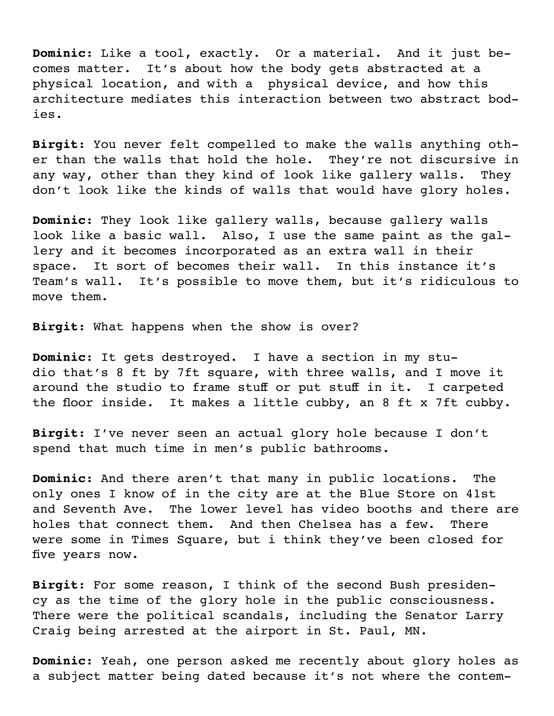**Dominic**: Like a tool, exactly. Or a material. And it just becomes matter. It's about how the body gets abstracted at a physical location, and with a physical device, and how this architecture mediates this interaction between two abstract bodies.

**Birgit**: You never felt compelled to make the walls anything other than the walls that hold the hole. They're not discursive in any way, other than they kind of look like gallery walls. They don't look like the kinds of walls that would have glory holes.

**Dominic**: They look like gallery walls, because gallery walls look like a basic wall. Also, I use the same paint as the gallery and it becomes incorporated as an extra wall in their space. It sort of becomes their wall. In this instance it's Team's wall. It's possible to move them, but it's ridiculous to move them.

**Birgit**: What happens when the show is over?

**Dominic**: It gets destroyed. I have a section in my studio that's 8 ft by 7ft square, with three walls, and I move it around the studio to frame stuff or put stuff in it. I carpeted the floor inside. It makes a little cubby, an 8 ft x 7ft cubby.

**Birgit**: I've never seen an actual glory hole because I don't spend that much time in men's public bathrooms.

**Dominic**: And there aren't that many in public locations. The only ones I know of in the city are at the Blue Store on 41st and Seventh Ave. The lower level has video booths and there are holes that connect them. And then Chelsea has a few. There were some in Times Square, but i think they've been closed for five years now.

**Birgit**: For some reason, I think of the second Bush presidency as the time of the glory hole in the public consciousness. There were the political scandals, including the Senator Larry Craig being arrested at the airport in St. Paul, MN.

**Dominic**: Yeah, one person asked me recently about glory holes as a subject matter being dated because it's not where the contem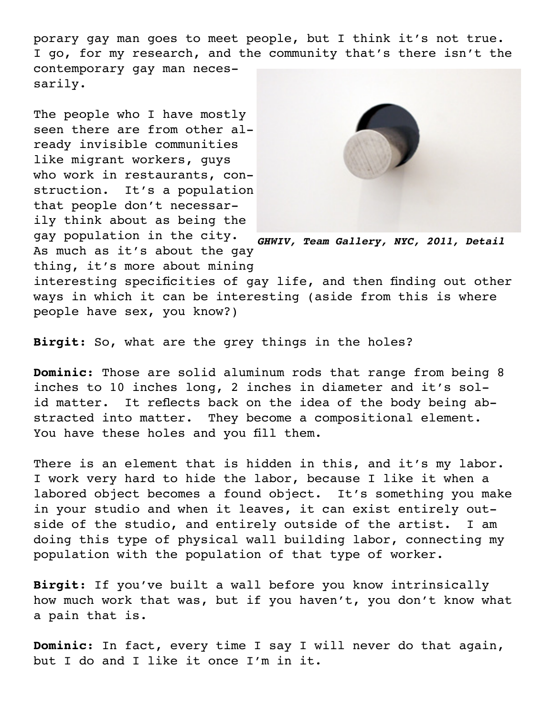porary gay man goes to meet people, but I think it's not true. I go, for my research, and the community that's there isn't the contemporary gay man necessarily.

The people who I have mostly seen there are from other already invisible communities like migrant workers, guys who work in restaurants, construction. It's a population that people don't necessarily think about as being the gay population in the city. As much as it's about the gay thing, it's more about mining



*GHWIV, Team Gallery, NYC, 2011, Detail* 

interesting specificities of gay life, and then finding out other ways in which it can be interesting (aside from this is where people have sex, you know?)

**Birgit**: So, what are the grey things in the holes?

**Dominic**: Those are solid aluminum rods that range from being 8 inches to 10 inches long, 2 inches in diameter and it's solid matter. It reflects back on the idea of the body being abstracted into matter. They become a compositional element. You have these holes and you fill them.

There is an element that is hidden in this, and it's my labor. I work very hard to hide the labor, because I like it when a labored object becomes a found object. It's something you make in your studio and when it leaves, it can exist entirely outside of the studio, and entirely outside of the artist. I am doing this type of physical wall building labor, connecting my population with the population of that type of worker.

**Birgit**: If you've built a wall before you know intrinsically how much work that was, but if you haven't, you don't know what a pain that is.

**Dominic**: In fact, every time I say I will never do that again, but I do and I like it once I'm in it.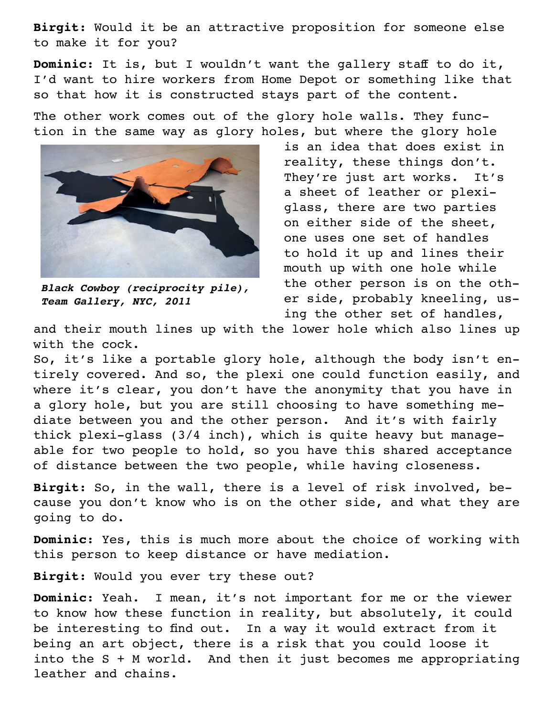**Birgit**: Would it be an attractive proposition for someone else to make it for you?

**Dominic**: It is, but I wouldn't want the gallery staff to do it, I'd want to hire workers from Home Depot or something like that so that how it is constructed stays part of the content.

The other work comes out of the glory hole walls. They function in the same way as glory holes, but where the glory hole



*Black Cowboy (reciprocity pile), Team Gallery, NYC, 2011*

is an idea that does exist in reality, these things don't. They're just art works. It's a sheet of leather or plexiglass, there are two parties on either side of the sheet, one uses one set of handles to hold it up and lines their mouth up with one hole while the other person is on the other side, probably kneeling, using the other set of handles,

and their mouth lines up with the lower hole which also lines up with the cock.

So, it's like a portable glory hole, although the body isn't entirely covered. And so, the plexi one could function easily, and where it's clear, you don't have the anonymity that you have in a glory hole, but you are still choosing to have something mediate between you and the other person. And it's with fairly thick plexi-glass (3/4 inch), which is quite heavy but manageable for two people to hold, so you have this shared acceptance of distance between the two people, while having closeness.

**Birgit**: So, in the wall, there is a level of risk involved, because you don't know who is on the other side, and what they are going to do.

**Dominic**: Yes, this is much more about the choice of working with this person to keep distance or have mediation.

**Birgit**: Would you ever try these out?

**Dominic**: Yeah. I mean, it's not important for me or the viewer to know how these function in reality, but absolutely, it could be interesting to find out. In a way it would extract from it being an art object, there is a risk that you could loose it into the S + M world. And then it just becomes me appropriating leather and chains.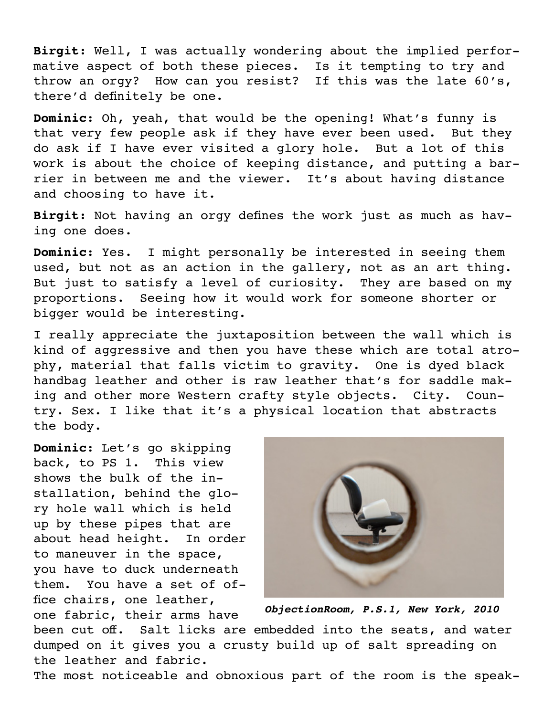**Birgit**: Well, I was actually wondering about the implied performative aspect of both these pieces. Is it tempting to try and throw an orgy? How can you resist? If this was the late 60's, there'd definitely be one.

**Dominic**: Oh, yeah, that would be the opening! What's funny is that very few people ask if they have ever been used. But they do ask if I have ever visited a glory hole. But a lot of this work is about the choice of keeping distance, and putting a barrier in between me and the viewer. It's about having distance and choosing to have it.

**Birgit**: Not having an orgy defines the work just as much as having one does.

**Dominic**: Yes. I might personally be interested in seeing them used, but not as an action in the gallery, not as an art thing. But just to satisfy a level of curiosity. They are based on my proportions. Seeing how it would work for someone shorter or bigger would be interesting.

I really appreciate the juxtaposition between the wall which is kind of aggressive and then you have these which are total atrophy, material that falls victim to gravity. One is dyed black handbag leather and other is raw leather that's for saddle making and other more Western crafty style objects. City. Country. Sex. I like that it's a physical location that abstracts the body.

**Dominic**: Let's go skipping back, to PS 1. This view shows the bulk of the installation, behind the glory hole wall which is held up by these pipes that are about head height. In order to maneuver in the space, you have to duck underneath them. You have a set of office chairs, one leather, one fabric, their arms have



*ObjectionRoom, P.S.1, New York, 2010*

been cut off. Salt licks are embedded into the seats, and water dumped on it gives you a crusty build up of salt spreading on the leather and fabric.

The most noticeable and obnoxious part of the room is the speak-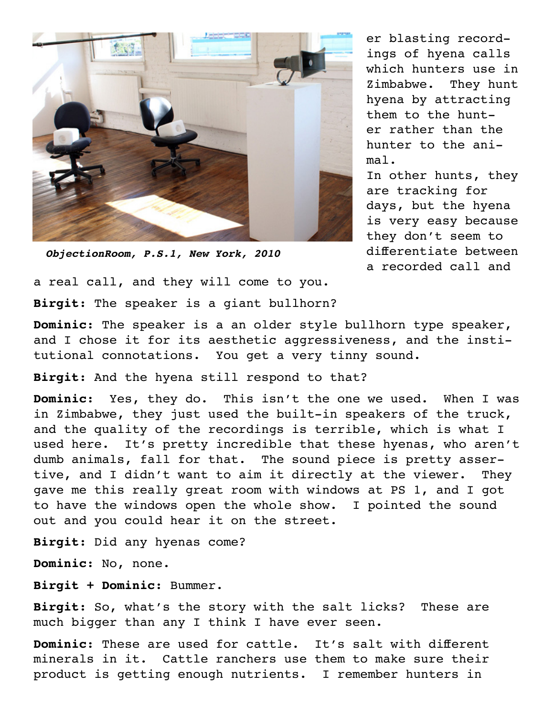

*ObjectionRoom, P.S.1, New York, 2010*

er blasting recordings of hyena calls which hunters use in Zimbabwe. They hunt hyena by attracting them to the hunter rather than the hunter to the animal. In other hunts, they

are tracking for days, but the hyena is very easy because they don't seem to differentiate between a recorded call and

a real call, and they will come to you. **Birgit**: The speaker is a giant bullhorn?

**Dominic**: The speaker is a an older style bullhorn type speaker, and I chose it for its aesthetic aggressiveness, and the institutional connotations. You get a very tinny sound.

**Birgit**: And the hyena still respond to that?

**Dominic**: Yes, they do. This isn't the one we used. When I was in Zimbabwe, they just used the built-in speakers of the truck, and the quality of the recordings is terrible, which is what I used here. It's pretty incredible that these hyenas, who aren't dumb animals, fall for that. The sound piece is pretty assertive, and I didn't want to aim it directly at the viewer. They gave me this really great room with windows at PS 1, and I got to have the windows open the whole show. I pointed the sound out and you could hear it on the street.

**Birgit**: Did any hyenas come?

**Dominic**: No, none.

**Birgit + Dominic**: Bummer.

**Birgit**: So, what's the story with the salt licks? These are much bigger than any I think I have ever seen.

**Dominic**: These are used for cattle. It's salt with different minerals in it. Cattle ranchers use them to make sure their product is getting enough nutrients. I remember hunters in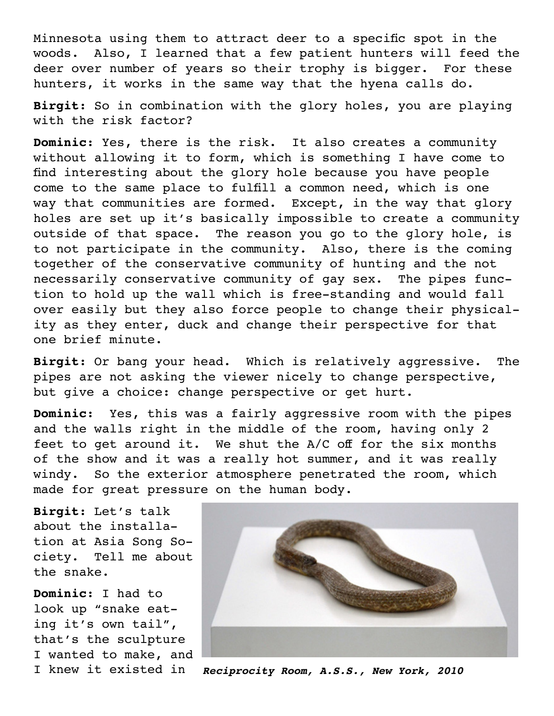Minnesota using them to attract deer to a specific spot in the woods. Also, I learned that a few patient hunters will feed the deer over number of years so their trophy is bigger. For these hunters, it works in the same way that the hyena calls do.

**Birgit**: So in combination with the glory holes, you are playing with the risk factor?

**Dominic**: Yes, there is the risk. It also creates a community without allowing it to form, which is something I have come to find interesting about the glory hole because you have people come to the same place to fulfill a common need, which is one way that communities are formed. Except, in the way that glory holes are set up it's basically impossible to create a community outside of that space. The reason you go to the glory hole, is to not participate in the community. Also, there is the coming together of the conservative community of hunting and the not necessarily conservative community of gay sex. The pipes function to hold up the wall which is free-standing and would fall over easily but they also force people to change their physicality as they enter, duck and change their perspective for that one brief minute.

**Birgit**: Or bang your head. Which is relatively aggressive. The pipes are not asking the viewer nicely to change perspective, but give a choice: change perspective or get hurt.

**Dominic**: Yes, this was a fairly aggressive room with the pipes and the walls right in the middle of the room, having only 2 feet to get around it. We shut the A/C off for the six months of the show and it was a really hot summer, and it was really windy. So the exterior atmosphere penetrated the room, which made for great pressure on the human body.

**Birgit**: Let's talk about the installation at Asia Song Society. Tell me about the snake.

**Dominic**: I had to look up "snake eating it's own tail", that's the sculpture I wanted to make, and



I knew it existed in *Reciprocity Room, A.S.S., New York, 2010*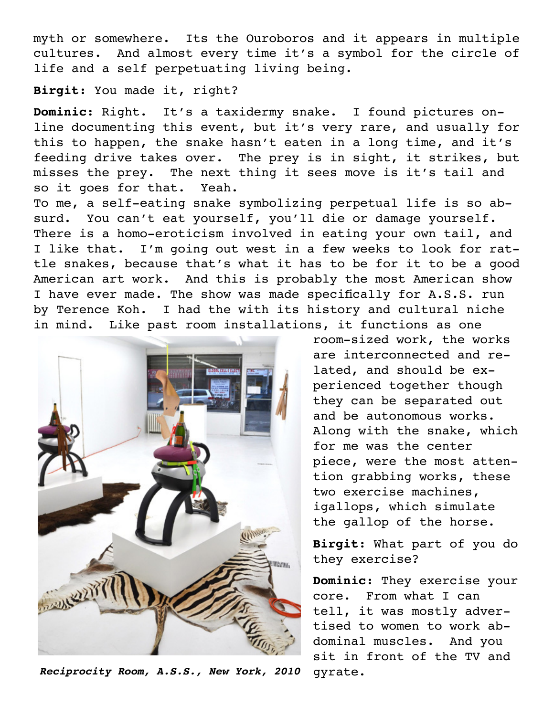myth or somewhere. Its the Ouroboros and it appears in multiple cultures. And almost every time it's a symbol for the circle of life and a self perpetuating living being.

**Birgit**: You made it, right?

**Dominic**: Right. It's a taxidermy snake. I found pictures online documenting this event, but it's very rare, and usually for this to happen, the snake hasn't eaten in a long time, and it's feeding drive takes over. The prey is in sight, it strikes, but misses the prey. The next thing it sees move is it's tail and so it goes for that. Yeah.

To me, a self-eating snake symbolizing perpetual life is so absurd. You can't eat yourself, you'll die or damage yourself. There is a homo-eroticism involved in eating your own tail, and I like that. I'm going out west in a few weeks to look for rattle snakes, because that's what it has to be for it to be a good American art work. And this is probably the most American show I have ever made. The show was made specifically for A.S.S. run by Terence Koh. I had the with its history and cultural niche in mind. Like past room installations, it functions as one



*Reciprocity Room, A.S.S., New York, 2010* gyrate.

room-sized work, the works are interconnected and related, and should be experienced together though they can be separated out and be autonomous works. Along with the snake, which for me was the center piece, were the most attention grabbing works, these two exercise machines, igallops, which simulate the gallop of the horse.

**Birgit**: What part of you do they exercise?

**Dominic**: They exercise your core. From what I can tell, it was mostly advertised to women to work abdominal muscles. And you sit in front of the TV and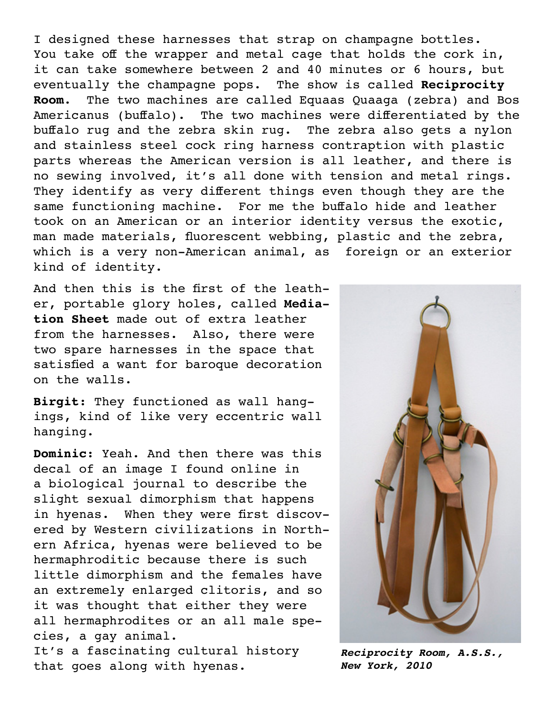I designed these harnesses that strap on champagne bottles. You take off the wrapper and metal cage that holds the cork in, it can take somewhere between 2 and 40 minutes or 6 hours, but eventually the champagne pops. The show is called **Reciprocity Room**. The two machines are called Equaas Quaaga (zebra) and Bos Americanus (buffalo). The two machines were differentiated by the buffalo rug and the zebra skin rug. The zebra also gets a nylon and stainless steel cock ring harness contraption with plastic parts whereas the American version is all leather, and there is no sewing involved, it's all done with tension and metal rings. They identify as very different things even though they are the same functioning machine. For me the buffalo hide and leather took on an American or an interior identity versus the exotic, man made materials, fluorescent webbing, plastic and the zebra, which is a very non-American animal, as foreign or an exterior kind of identity.

And then this is the first of the leather, portable glory holes, called **Mediation Sheet** made out of extra leather from the harnesses. Also, there were two spare harnesses in the space that satisfied a want for baroque decoration on the walls.

**Birgit**: They functioned as wall hangings, kind of like very eccentric wall hanging.

**Dominic**: Yeah. And then there was this decal of an image I found online in a biological journal to describe the slight sexual dimorphism that happens in hyenas. When they were first discovered by Western civilizations in Northern Africa, hyenas were believed to be hermaphroditic because there is such little dimorphism and the females have an extremely enlarged clitoris, and so it was thought that either they were all hermaphrodites or an all male species, a gay animal.

It's a fascinating cultural history that goes along with hyenas.



*Reciprocity Room, A.S.S., New York, 2010*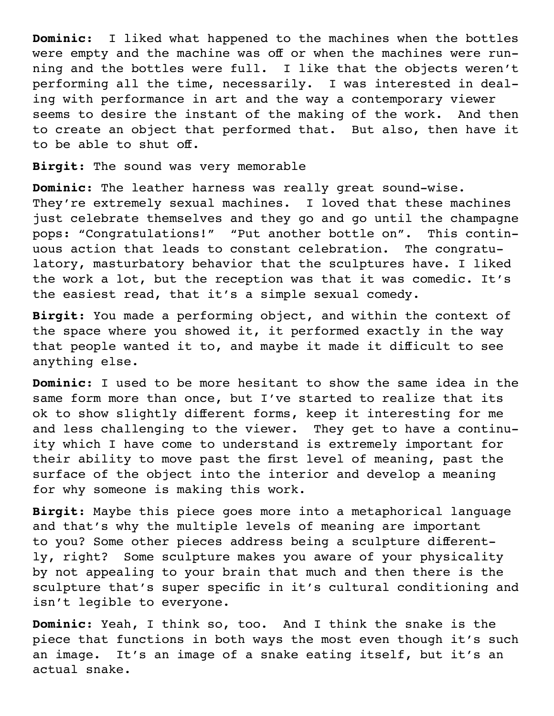**Dominic**: I liked what happened to the machines when the bottles were empty and the machine was off or when the machines were running and the bottles were full. I like that the objects weren't performing all the time, necessarily. I was interested in dealing with performance in art and the way a contemporary viewer seems to desire the instant of the making of the work. And then to create an object that performed that. But also, then have it to be able to shut off.

**Birgit**: The sound was very memorable

**Dominic**: The leather harness was really great sound-wise. They're extremely sexual machines. I loved that these machines just celebrate themselves and they go and go until the champagne pops: "Congratulations!" "Put another bottle on". This continuous action that leads to constant celebration. The congratulatory, masturbatory behavior that the sculptures have. I liked the work a lot, but the reception was that it was comedic. It's the easiest read, that it's a simple sexual comedy.

**Birgit**: You made a performing object, and within the context of the space where you showed it, it performed exactly in the way that people wanted it to, and maybe it made it difficult to see anything else.

**Dominic**: I used to be more hesitant to show the same idea in the same form more than once, but I've started to realize that its ok to show slightly different forms, keep it interesting for me and less challenging to the viewer. They get to have a continuity which I have come to understand is extremely important for their ability to move past the first level of meaning, past the surface of the object into the interior and develop a meaning for why someone is making this work.

**Birgit**: Maybe this piece goes more into a metaphorical language and that's why the multiple levels of meaning are important to you? Some other pieces address being a sculpture differently, right? Some sculpture makes you aware of your physicality by not appealing to your brain that much and then there is the sculpture that's super specific in it's cultural conditioning and isn't legible to everyone.

**Dominic**: Yeah, I think so, too. And I think the snake is the piece that functions in both ways the most even though it's such an image. It's an image of a snake eating itself, but it's an actual snake.